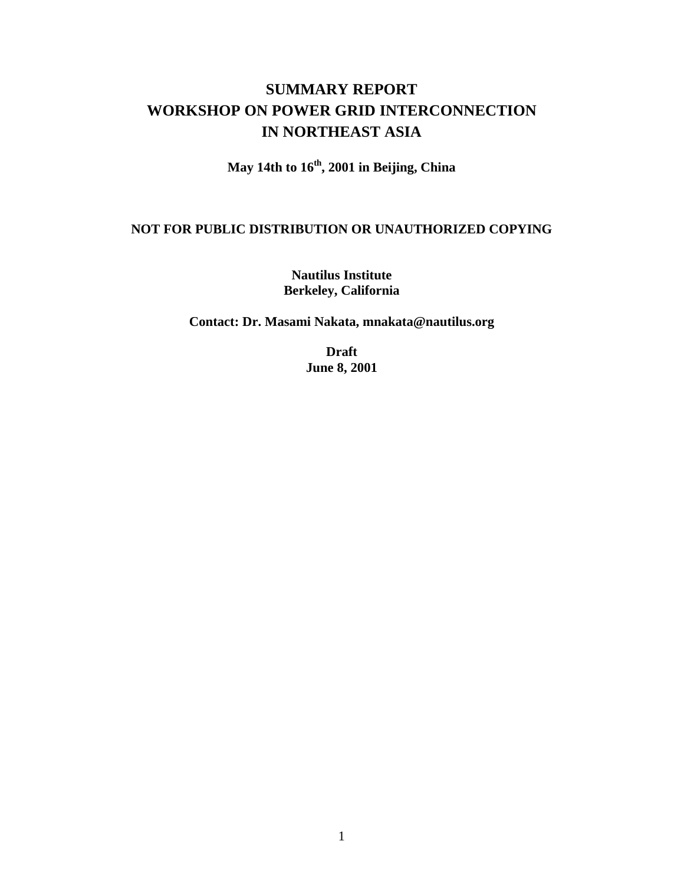# **SUMMARY REPORT WORKSHOP ON POWER GRID INTERCONNECTION IN NORTHEAST ASIA**

**May 14th to 16th, 2001 in Beijing, China**

#### **NOT FOR PUBLIC DISTRIBUTION OR UNAUTHORIZED COPYING**

**Nautilus Institute Berkeley, California**

**Contact: Dr. Masami Nakata, mnakata@nautilus.org**

**Draft June 8, 2001**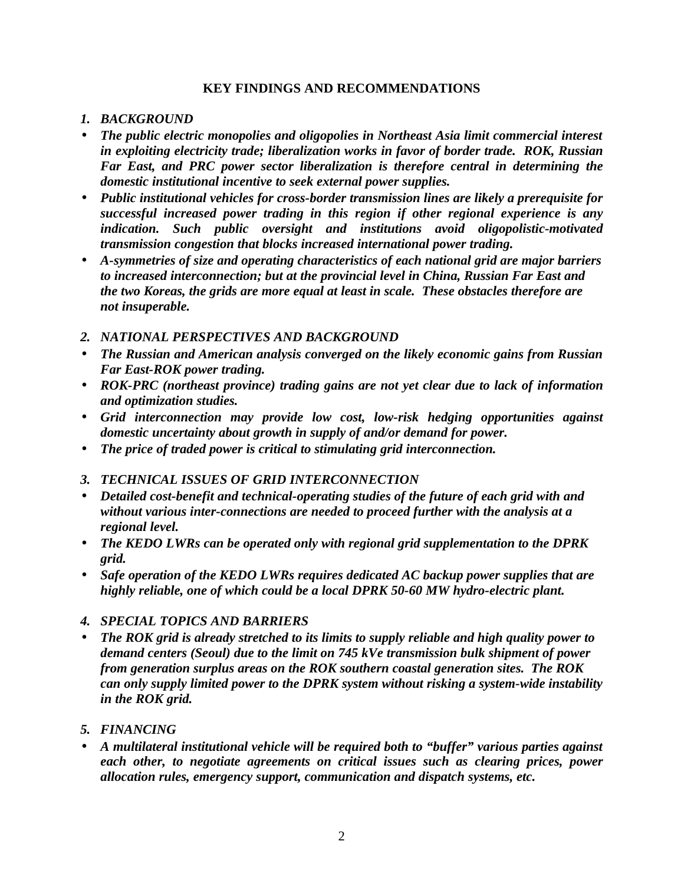#### **KEY FINDINGS AND RECOMMENDATIONS**

#### *1. BACKGROUND*

- *The public electric monopolies and oligopolies in Northeast Asia limit commercial interest in exploiting electricity trade; liberalization works in favor of border trade. ROK, Russian Far East, and PRC power sector liberalization is therefore central in determining the domestic institutional incentive to seek external power supplies.*
- *Public institutional vehicles for cross-border transmission lines are likely a prerequisite for successful increased power trading in this region if other regional experience is any indication. Such public oversight and institutions avoid oligopolistic-motivated transmission congestion that blocks increased international power trading.*
- *A-symmetries of size and operating characteristics of each national grid are major barriers to increased interconnection; but at the provincial level in China, Russian Far East and the two Koreas, the grids are more equal at least in scale. These obstacles therefore are not insuperable.*
- *2. NATIONAL PERSPECTIVES AND BACKGROUND*
- *The Russian and American analysis converged on the likely economic gains from Russian Far East-ROK power trading.*
- *ROK-PRC (northeast province) trading gains are not yet clear due to lack of information and optimization studies.*
- *Grid interconnection may provide low cost, low-risk hedging opportunities against domestic uncertainty about growth in supply of and/or demand for power.*
- *The price of traded power is critical to stimulating grid interconnection.*
- *3. TECHNICAL ISSUES OF GRID INTERCONNECTION*
- *Detailed cost-benefit and technical-operating studies of the future of each grid with and without various inter-connections are needed to proceed further with the analysis at a regional level.*
- *The KEDO LWRs can be operated only with regional grid supplementation to the DPRK grid.*
- *Safe operation of the KEDO LWRs requires dedicated AC backup power supplies that are highly reliable, one of which could be a local DPRK 50-60 MW hydro-electric plant.*
- *4. SPECIAL TOPICS AND BARRIERS*
- *The ROK grid is already stretched to its limits to supply reliable and high quality power to demand centers (Seoul) due to the limit on 745 kVe transmission bulk shipment of power from generation surplus areas on the ROK southern coastal generation sites. The ROK can only supply limited power to the DPRK system without risking a system-wide instability in the ROK grid.*
- *5. FINANCING*
- *A multilateral institutional vehicle will be required both to "buffer" various parties against each other, to negotiate agreements on critical issues such as clearing prices, power allocation rules, emergency support, communication and dispatch systems, etc.*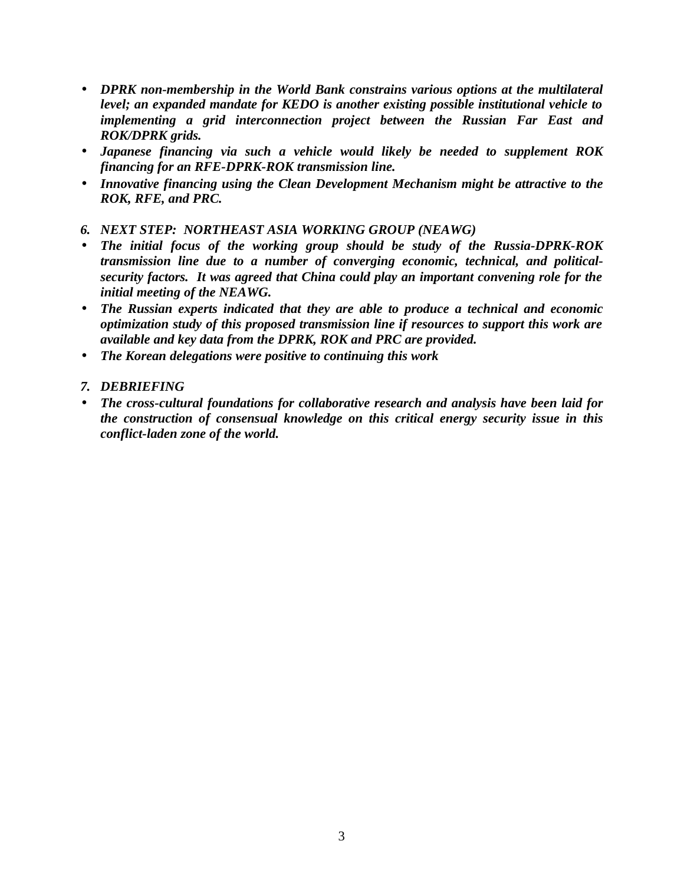- *DPRK non-membership in the World Bank constrains various options at the multilateral level; an expanded mandate for KEDO is another existing possible institutional vehicle to implementing a grid interconnection project between the Russian Far East and ROK/DPRK grids.*
- *Japanese financing via such a vehicle would likely be needed to supplement ROK financing for an RFE-DPRK-ROK transmission line.*
- *Innovative financing using the Clean Development Mechanism might be attractive to the ROK, RFE, and PRC.*

#### *6. NEXT STEP: NORTHEAST ASIA WORKING GROUP (NEAWG)*

- *The initial focus of the working group should be study of the Russia-DPRK-ROK transmission line due to a number of converging economic, technical, and politicalsecurity factors. It was agreed that China could play an important convening role for the initial meeting of the NEAWG.*
- *The Russian experts indicated that they are able to produce a technical and economic optimization study of this proposed transmission line if resources to support this work are available and key data from the DPRK, ROK and PRC are provided.*
- *The Korean delegations were positive to continuing this work*
- *7. DEBRIEFING*
- *The cross-cultural foundations for collaborative research and analysis have been laid for the construction of consensual knowledge on this critical energy security issue in this conflict-laden zone of the world.*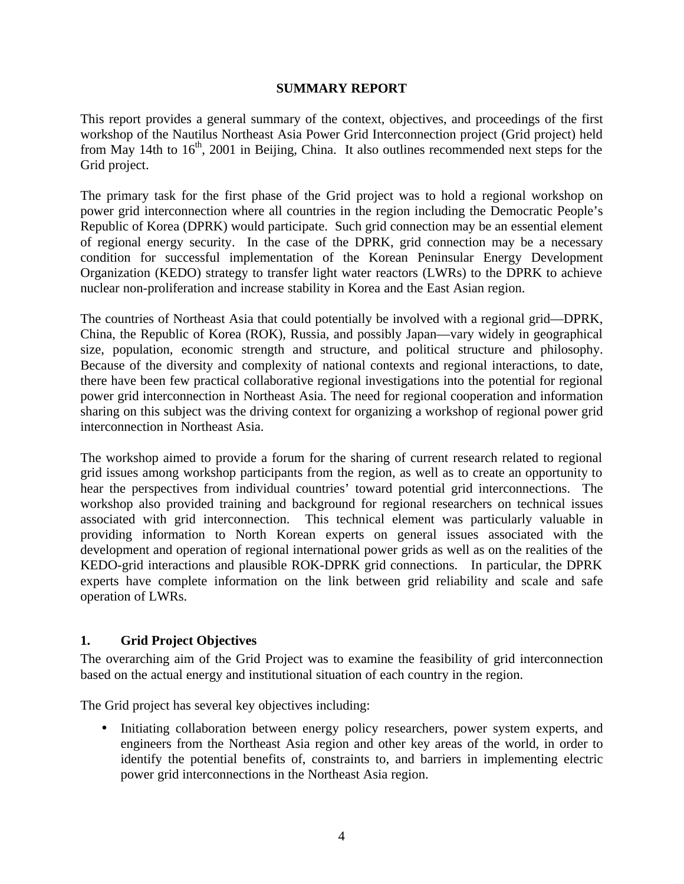#### **SUMMARY REPORT**

This report provides a general summary of the context, objectives, and proceedings of the first workshop of the Nautilus Northeast Asia Power Grid Interconnection project (Grid project) held from May 14th to  $16<sup>th</sup>$ , 2001 in Beijing, China. It also outlines recommended next steps for the Grid project.

The primary task for the first phase of the Grid project was to hold a regional workshop on power grid interconnection where all countries in the region including the Democratic People's Republic of Korea (DPRK) would participate. Such grid connection may be an essential element of regional energy security. In the case of the DPRK, grid connection may be a necessary condition for successful implementation of the Korean Peninsular Energy Development Organization (KEDO) strategy to transfer light water reactors (LWRs) to the DPRK to achieve nuclear non-proliferation and increase stability in Korea and the East Asian region.

The countries of Northeast Asia that could potentially be involved with a regional grid—DPRK, China, the Republic of Korea (ROK), Russia, and possibly Japan—vary widely in geographical size, population, economic strength and structure, and political structure and philosophy. Because of the diversity and complexity of national contexts and regional interactions, to date, there have been few practical collaborative regional investigations into the potential for regional power grid interconnection in Northeast Asia. The need for regional cooperation and information sharing on this subject was the driving context for organizing a workshop of regional power grid interconnection in Northeast Asia.

The workshop aimed to provide a forum for the sharing of current research related to regional grid issues among workshop participants from the region, as well as to create an opportunity to hear the perspectives from individual countries' toward potential grid interconnections. The workshop also provided training and background for regional researchers on technical issues associated with grid interconnection. This technical element was particularly valuable in providing information to North Korean experts on general issues associated with the development and operation of regional international power grids as well as on the realities of the KEDO-grid interactions and plausible ROK-DPRK grid connections. In particular, the DPRK experts have complete information on the link between grid reliability and scale and safe operation of LWRs.

## **1. Grid Project Objectives**

The overarching aim of the Grid Project was to examine the feasibility of grid interconnection based on the actual energy and institutional situation of each country in the region.

The Grid project has several key objectives including:

• Initiating collaboration between energy policy researchers, power system experts, and engineers from the Northeast Asia region and other key areas of the world, in order to identify the potential benefits of, constraints to, and barriers in implementing electric power grid interconnections in the Northeast Asia region.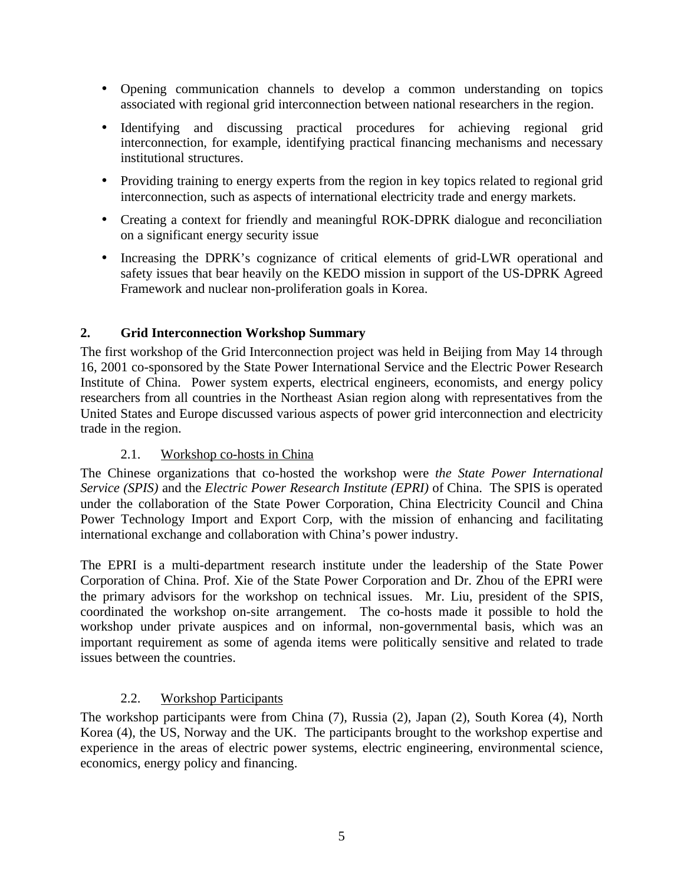- Opening communication channels to develop a common understanding on topics associated with regional grid interconnection between national researchers in the region.
- Identifying and discussing practical procedures for achieving regional grid interconnection, for example, identifying practical financing mechanisms and necessary institutional structures.
- Providing training to energy experts from the region in key topics related to regional grid interconnection, such as aspects of international electricity trade and energy markets.
- Creating a context for friendly and meaningful ROK-DPRK dialogue and reconciliation on a significant energy security issue
- Increasing the DPRK's cognizance of critical elements of grid-LWR operational and safety issues that bear heavily on the KEDO mission in support of the US-DPRK Agreed Framework and nuclear non-proliferation goals in Korea.

## **2. Grid Interconnection Workshop Summary**

The first workshop of the Grid Interconnection project was held in Beijing from May 14 through 16, 2001 co-sponsored by the State Power International Service and the Electric Power Research Institute of China. Power system experts, electrical engineers, economists, and energy policy researchers from all countries in the Northeast Asian region along with representatives from the United States and Europe discussed various aspects of power grid interconnection and electricity trade in the region.

## 2.1. Workshop co-hosts in China

The Chinese organizations that co-hosted the workshop were *the State Power International Service (SPIS)* and the *Electric Power Research Institute (EPRI)* of China. The SPIS is operated under the collaboration of the State Power Corporation, China Electricity Council and China Power Technology Import and Export Corp, with the mission of enhancing and facilitating international exchange and collaboration with China's power industry.

The EPRI is a multi-department research institute under the leadership of the State Power Corporation of China. Prof. Xie of the State Power Corporation and Dr. Zhou of the EPRI were the primary advisors for the workshop on technical issues. Mr. Liu, president of the SPIS, coordinated the workshop on-site arrangement. The co-hosts made it possible to hold the workshop under private auspices and on informal, non-governmental basis, which was an important requirement as some of agenda items were politically sensitive and related to trade issues between the countries.

## 2.2. Workshop Participants

The workshop participants were from China (7), Russia (2), Japan (2), South Korea (4), North Korea (4), the US, Norway and the UK. The participants brought to the workshop expertise and experience in the areas of electric power systems, electric engineering, environmental science, economics, energy policy and financing.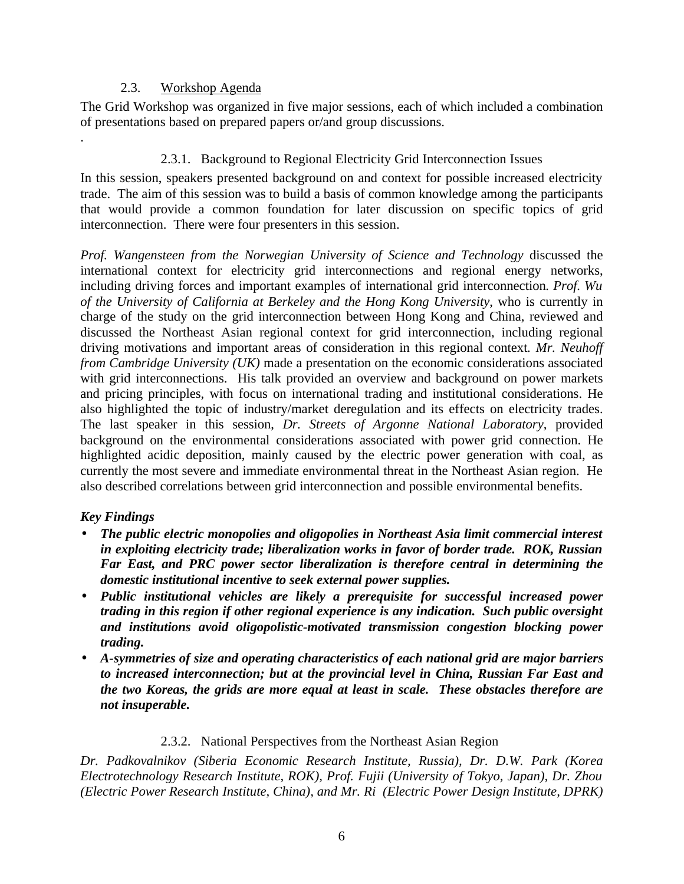#### 2.3. Workshop Agenda

The Grid Workshop was organized in five major sessions, each of which included a combination of presentations based on prepared papers or/and group discussions.

## 2.3.1. Background to Regional Electricity Grid Interconnection Issues

In this session, speakers presented background on and context for possible increased electricity trade. The aim of this session was to build a basis of common knowledge among the participants that would provide a common foundation for later discussion on specific topics of grid interconnection. There were four presenters in this session.

*Prof. Wangensteen from the Norwegian University of Science and Technology* discussed the international context for electricity grid interconnections and regional energy networks, including driving forces and important examples of international grid interconnection*. Prof. Wu of the University of California at Berkeley and the Hong Kong University*, who is currently in charge of the study on the grid interconnection between Hong Kong and China, reviewed and discussed the Northeast Asian regional context for grid interconnection, including regional driving motivations and important areas of consideration in this regional context*. Mr. Neuhoff from Cambridge University (UK)* made a presentation on the economic considerations associated with grid interconnections. His talk provided an overview and background on power markets and pricing principles, with focus on international trading and institutional considerations. He also highlighted the topic of industry/market deregulation and its effects on electricity trades. The last speaker in this session, *Dr. Streets of Argonne National Laboratory*, provided background on the environmental considerations associated with power grid connection. He highlighted acidic deposition, mainly caused by the electric power generation with coal, as currently the most severe and immediate environmental threat in the Northeast Asian region. He also described correlations between grid interconnection and possible environmental benefits.

## *Key Findings*

.

- *The public electric monopolies and oligopolies in Northeast Asia limit commercial interest in exploiting electricity trade; liberalization works in favor of border trade. ROK, Russian Far East, and PRC power sector liberalization is therefore central in determining the domestic institutional incentive to seek external power supplies.*
- *Public institutional vehicles are likely a prerequisite for successful increased power trading in this region if other regional experience is any indication. Such public oversight and institutions avoid oligopolistic-motivated transmission congestion blocking power trading.*
- *A-symmetries of size and operating characteristics of each national grid are major barriers to increased interconnection; but at the provincial level in China, Russian Far East and the two Koreas, the grids are more equal at least in scale. These obstacles therefore are not insuperable.*

## 2.3.2. National Perspectives from the Northeast Asian Region

*Dr. Padkovalnikov (Siberia Economic Research Institute, Russia), Dr. D.W. Park (Korea Electrotechnology Research Institute, ROK), Prof. Fujii (University of Tokyo, Japan), Dr. Zhou (Electric Power Research Institute, China), and Mr. Ri (Electric Power Design Institute, DPRK)*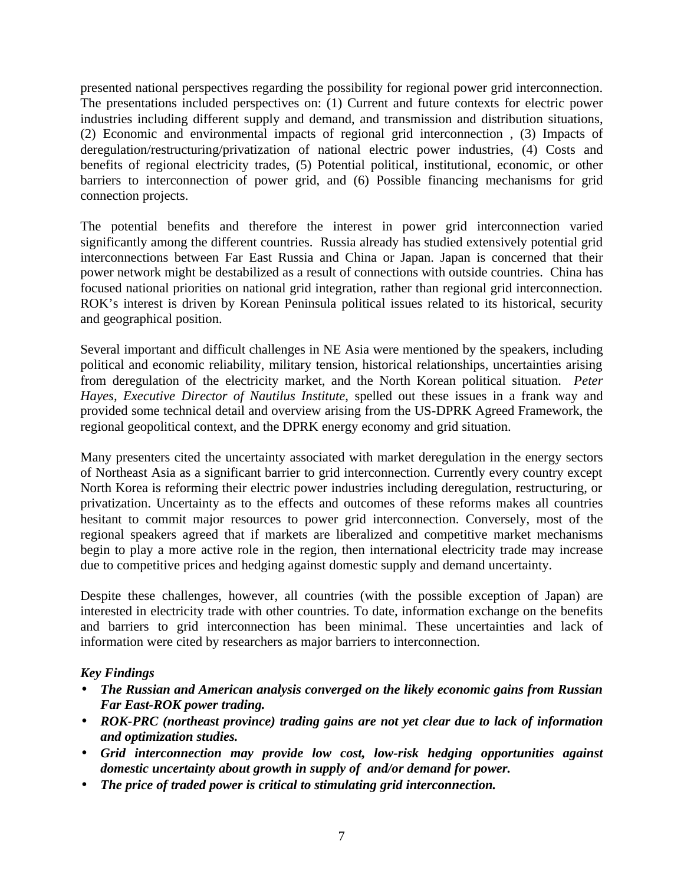presented national perspectives regarding the possibility for regional power grid interconnection. The presentations included perspectives on: (1) Current and future contexts for electric power industries including different supply and demand, and transmission and distribution situations, (2) Economic and environmental impacts of regional grid interconnection , (3) Impacts of deregulation/restructuring/privatization of national electric power industries, (4) Costs and benefits of regional electricity trades, (5) Potential political, institutional, economic, or other barriers to interconnection of power grid, and (6) Possible financing mechanisms for grid connection projects.

The potential benefits and therefore the interest in power grid interconnection varied significantly among the different countries. Russia already has studied extensively potential grid interconnections between Far East Russia and China or Japan. Japan is concerned that their power network might be destabilized as a result of connections with outside countries. China has focused national priorities on national grid integration, rather than regional grid interconnection. ROK's interest is driven by Korean Peninsula political issues related to its historical, security and geographical position.

Several important and difficult challenges in NE Asia were mentioned by the speakers, including political and economic reliability, military tension, historical relationships, uncertainties arising from deregulation of the electricity market, and the North Korean political situation. *Peter Hayes, Executive Director of Nautilus Institute*, spelled out these issues in a frank way and provided some technical detail and overview arising from the US-DPRK Agreed Framework, the regional geopolitical context, and the DPRK energy economy and grid situation.

Many presenters cited the uncertainty associated with market deregulation in the energy sectors of Northeast Asia as a significant barrier to grid interconnection. Currently every country except North Korea is reforming their electric power industries including deregulation, restructuring, or privatization. Uncertainty as to the effects and outcomes of these reforms makes all countries hesitant to commit major resources to power grid interconnection. Conversely, most of the regional speakers agreed that if markets are liberalized and competitive market mechanisms begin to play a more active role in the region, then international electricity trade may increase due to competitive prices and hedging against domestic supply and demand uncertainty.

Despite these challenges, however, all countries (with the possible exception of Japan) are interested in electricity trade with other countries. To date, information exchange on the benefits and barriers to grid interconnection has been minimal. These uncertainties and lack of information were cited by researchers as major barriers to interconnection.

## *Key Findings*

- *The Russian and American analysis converged on the likely economic gains from Russian Far East-ROK power trading.*
- *ROK-PRC (northeast province) trading gains are not yet clear due to lack of information and optimization studies.*
- *Grid interconnection may provide low cost, low-risk hedging opportunities against domestic uncertainty about growth in supply of and/or demand for power.*
- *The price of traded power is critical to stimulating grid interconnection.*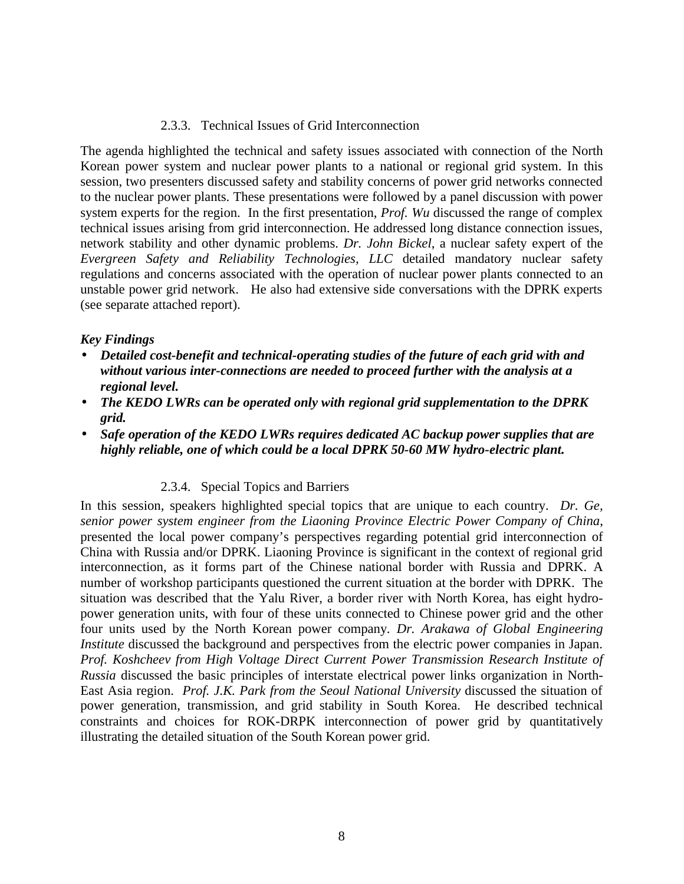#### 2.3.3. Technical Issues of Grid Interconnection

The agenda highlighted the technical and safety issues associated with connection of the North Korean power system and nuclear power plants to a national or regional grid system. In this session, two presenters discussed safety and stability concerns of power grid networks connected to the nuclear power plants. These presentations were followed by a panel discussion with power system experts for the region. In the first presentation, *Prof. Wu* discussed the range of complex technical issues arising from grid interconnection. He addressed long distance connection issues, network stability and other dynamic problems. *Dr. John Bickel*, a nuclear safety expert of the *Evergreen Safety and Reliability Technologies, LLC* detailed mandatory nuclear safety regulations and concerns associated with the operation of nuclear power plants connected to an unstable power grid network. He also had extensive side conversations with the DPRK experts (see separate attached report).

#### *Key Findings*

- *Detailed cost-benefit and technical-operating studies of the future of each grid with and without various inter-connections are needed to proceed further with the analysis at a regional level.*
- *The KEDO LWRs can be operated only with regional grid supplementation to the DPRK grid.*
- *Safe operation of the KEDO LWRs requires dedicated AC backup power supplies that are highly reliable, one of which could be a local DPRK 50-60 MW hydro-electric plant.*

#### 2.3.4. Special Topics and Barriers

In this session, speakers highlighted special topics that are unique to each country. *Dr. Ge, senior power system engineer from the Liaoning Province Electric Power Company of China*, presented the local power company's perspectives regarding potential grid interconnection of China with Russia and/or DPRK. Liaoning Province is significant in the context of regional grid interconnection, as it forms part of the Chinese national border with Russia and DPRK. A number of workshop participants questioned the current situation at the border with DPRK. The situation was described that the Yalu River, a border river with North Korea, has eight hydropower generation units, with four of these units connected to Chinese power grid and the other four units used by the North Korean power company*. Dr. Arakawa of Global Engineering Institute* discussed the background and perspectives from the electric power companies in Japan. *Prof. Koshcheev from High Voltage Direct Current Power Transmission Research Institute of Russia* discussed the basic principles of interstate electrical power links organization in North-East Asia region. *Prof. J.K. Park from the Seoul National University* discussed the situation of power generation, transmission, and grid stability in South Korea. He described technical constraints and choices for ROK-DRPK interconnection of power grid by quantitatively illustrating the detailed situation of the South Korean power grid.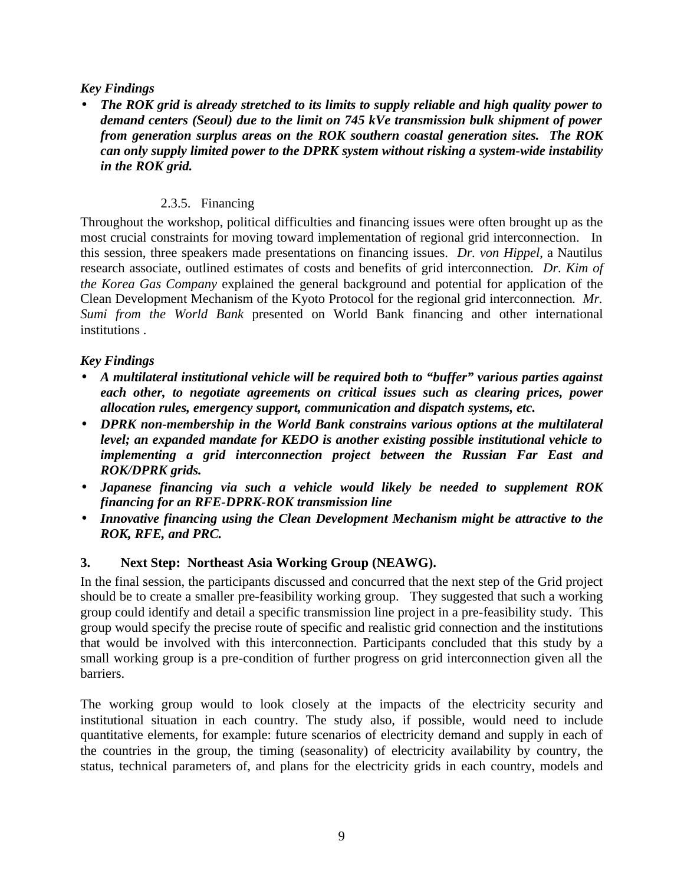#### *Key Findings*

• *The ROK grid is already stretched to its limits to supply reliable and high quality power to demand centers (Seoul) due to the limit on 745 kVe transmission bulk shipment of power from generation surplus areas on the ROK southern coastal generation sites. The ROK can only supply limited power to the DPRK system without risking a system-wide instability in the ROK grid.*

#### 2.3.5. Financing

Throughout the workshop, political difficulties and financing issues were often brought up as the most crucial constraints for moving toward implementation of regional grid interconnection. In this session, three speakers made presentations on financing issues. *Dr. von Hippel*, a Nautilus research associate, outlined estimates of costs and benefits of grid interconnection*. Dr. Kim of the Korea Gas Company* explained the general background and potential for application of the Clean Development Mechanism of the Kyoto Protocol for the regional grid interconnection*. Mr. Sumi from the World Bank* presented on World Bank financing and other international institutions .

## *Key Findings*

- *A multilateral institutional vehicle will be required both to "buffer" various parties against each other, to negotiate agreements on critical issues such as clearing prices, power allocation rules, emergency support, communication and dispatch systems, etc.*
- *DPRK non-membership in the World Bank constrains various options at the multilateral level; an expanded mandate for KEDO is another existing possible institutional vehicle to implementing a grid interconnection project between the Russian Far East and ROK/DPRK grids.*
- *Japanese financing via such a vehicle would likely be needed to supplement ROK financing for an RFE-DPRK-ROK transmission line*
- *Innovative financing using the Clean Development Mechanism might be attractive to the ROK, RFE, and PRC.*

#### **3. Next Step: Northeast Asia Working Group (NEAWG).**

In the final session, the participants discussed and concurred that the next step of the Grid project should be to create a smaller pre-feasibility working group. They suggested that such a working group could identify and detail a specific transmission line project in a pre-feasibility study. This group would specify the precise route of specific and realistic grid connection and the institutions that would be involved with this interconnection. Participants concluded that this study by a small working group is a pre-condition of further progress on grid interconnection given all the barriers.

The working group would to look closely at the impacts of the electricity security and institutional situation in each country. The study also, if possible, would need to include quantitative elements, for example: future scenarios of electricity demand and supply in each of the countries in the group, the timing (seasonality) of electricity availability by country, the status, technical parameters of, and plans for the electricity grids in each country, models and